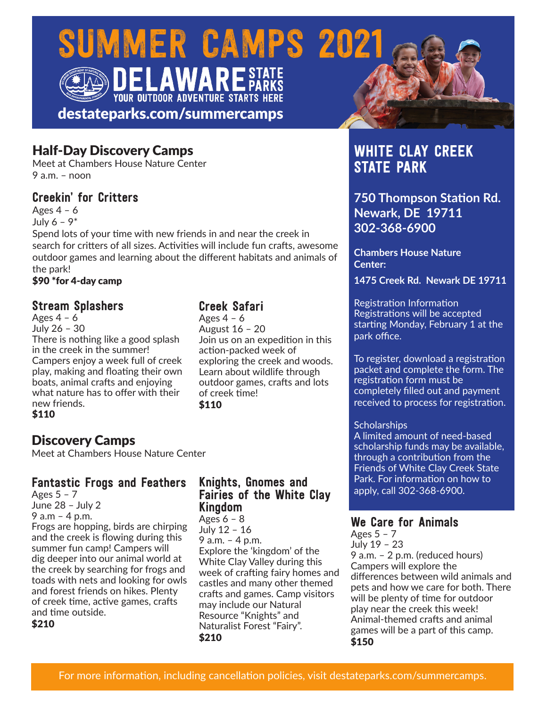# SUMMER CAMPS 2021 **AWARE** STATE

destateparks.com/summercamps

**YOUR OUTDOOR ADVENTURE STARTS HERE** 

# Half-Day Discovery Camps

Meet at Chambers House Nature Center  $9a \, m - n$ 

# Creekin' for Critters

Ages  $4 - 6$ July  $6 - 9^*$ 

Spend lots of your time with new friends in and near the creek in search for critters of all sizes. Activities will include fun crafts, awesome outdoor games and learning about the different habitats and animals of the park!

\$90 \*for 4-day camp

## Stream Splashers

Ages  $4 - 6$ July 26 – 30 There is nothing like a good splash in the creek in the summer! Campers enjoy a week full of creek play, making and floating their own boats, animal crafts and enjoying what nature has to offer with their new friends. \$110

# Discovery Camps

Meet at Chambers House Nature Center

#### Fantastic Frogs and Feathers

Ages 5 – 7 June 28 – July 2 9 a.m – 4 p.m. Frogs are hopping, birds are chirping and the creek is flowing during this summer fun camp! Campers will dig deeper into our animal world at the creek by searching for frogs and toads with nets and looking for owls and forest friends on hikes. Plenty of creek time, active games, crafts and time outside.

\$210

## Creek Safari

Ages  $4 - 6$ August 16 – 20 Join us on an expedition in this action-packed week of exploring the creek and woods. Learn about wildlife through outdoor games, crafts and lots of creek time! \$110

#### Knights, Gnomes and Fairies of the White Clay Kingdom

Ages  $6 - 8$ July 12 – 16 9 a.m. – 4 p.m. Explore the 'kingdom' of the White Clay Valley during this week of crafting fairy homes and castles and many other themed crafts and games. Camp visitors may include our Natural Resource "Knights" and Naturalist Forest "Fairy". \$210

# WHITE CLAY CREEK STATE PARK

**750 Thompson Station Rd. Newark, DE 19711 302-368-6900**

**Chambers House Nature Center:** 

**1475 Creek Rd. Newark DE 19711**

Registration Information Registrations will be accepted starting Monday, February 1 at the park office.

To register, download a registration packet and complete the form. The registration form must be completely filled out and payment received to process for registration.

#### **Scholarships**

A limited amount of need-based scholarship funds may be available, through a contribution from the Friends of White Clay Creek State Park. For information on how to apply, call 302-368-6900.

#### We Care for Animals

Ages  $5 - 7$ July 19 – 23 9 a.m. – 2 p.m. (reduced hours) Campers will explore the differences between wild animals and pets and how we care for both. There will be plenty of time for outdoor play near the creek this week! Animal-themed crafts and animal games will be a part of this camp. \$150